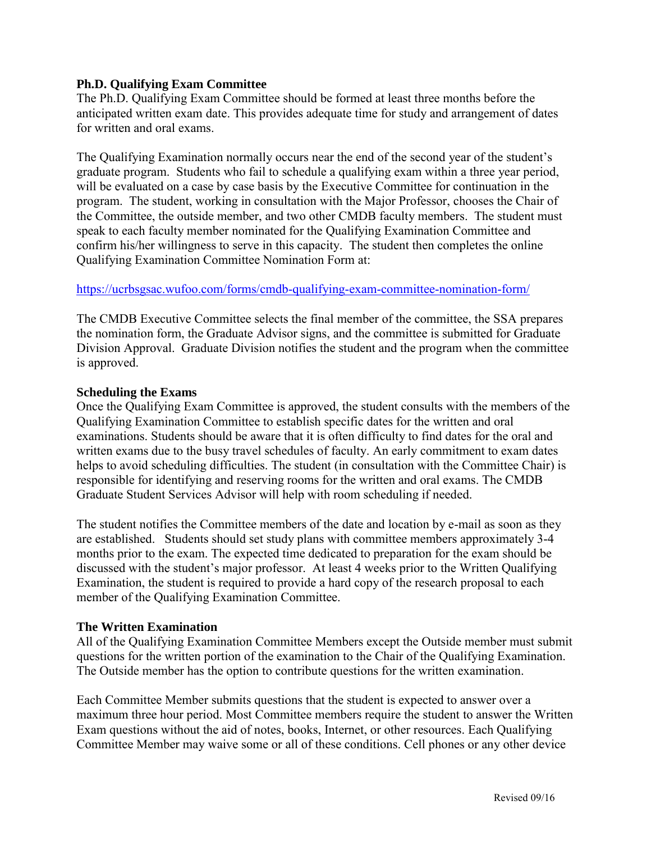### **Ph.D. Qualifying Exam Committee**

The Ph.D. Qualifying Exam Committee should be formed at least three months before the anticipated written exam date. This provides adequate time for study and arrangement of dates for written and oral exams.

The Qualifying Examination normally occurs near the end of the second year of the student's graduate program. Students who fail to schedule a qualifying exam within a three year period, will be evaluated on a case by case basis by the Executive Committee for continuation in the program. The student, working in consultation with the Major Professor, chooses the Chair of the Committee, the outside member, and two other CMDB faculty members. The student must speak to each faculty member nominated for the Qualifying Examination Committee and confirm his/her willingness to serve in this capacity. The student then completes the online Qualifying Examination Committee Nomination Form at:

### <https://ucrbsgsac.wufoo.com/forms/cmdb-qualifying-exam-committee-nomination-form/>

The CMDB Executive Committee selects the final member of the committee, the SSA prepares the nomination form, the Graduate Advisor signs, and the committee is submitted for Graduate Division Approval. Graduate Division notifies the student and the program when the committee is approved.

### **Scheduling the Exams**

Once the Qualifying Exam Committee is approved, the student consults with the members of the Qualifying Examination Committee to establish specific dates for the written and oral examinations. Students should be aware that it is often difficulty to find dates for the oral and written exams due to the busy travel schedules of faculty. An early commitment to exam dates helps to avoid scheduling difficulties. The student (in consultation with the Committee Chair) is responsible for identifying and reserving rooms for the written and oral exams. The CMDB Graduate Student Services Advisor will help with room scheduling if needed.

The student notifies the Committee members of the date and location by e-mail as soon as they are established. Students should set study plans with committee members approximately 3-4 months prior to the exam. The expected time dedicated to preparation for the exam should be discussed with the student's major professor. At least 4 weeks prior to the Written Qualifying Examination, the student is required to provide a hard copy of the research proposal to each member of the Qualifying Examination Committee.

### **The Written Examination**

All of the Qualifying Examination Committee Members except the Outside member must submit questions for the written portion of the examination to the Chair of the Qualifying Examination. The Outside member has the option to contribute questions for the written examination.

Each Committee Member submits questions that the student is expected to answer over a maximum three hour period. Most Committee members require the student to answer the Written Exam questions without the aid of notes, books, Internet, or other resources. Each Qualifying Committee Member may waive some or all of these conditions. Cell phones or any other device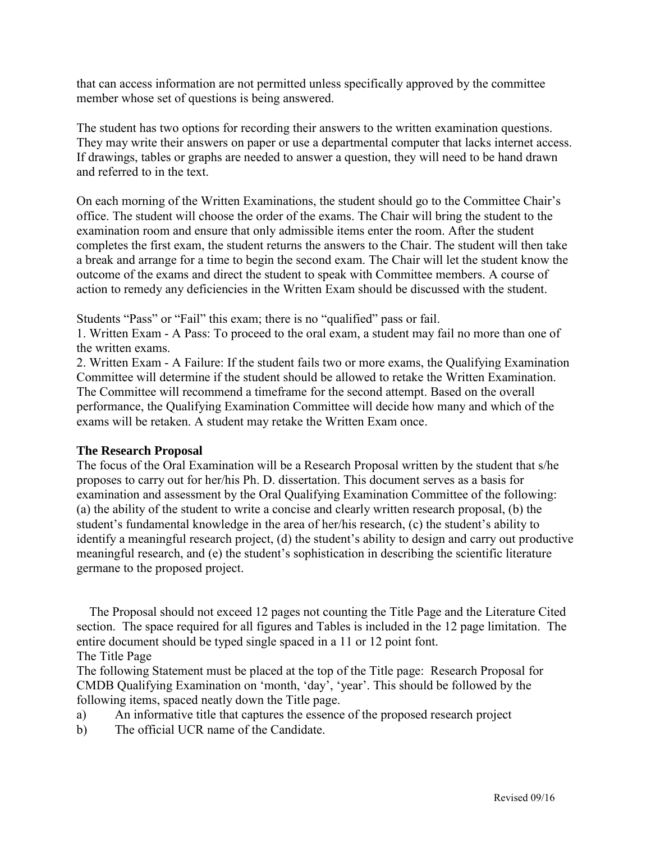that can access information are not permitted unless specifically approved by the committee member whose set of questions is being answered.

The student has two options for recording their answers to the written examination questions. They may write their answers on paper or use a departmental computer that lacks internet access. If drawings, tables or graphs are needed to answer a question, they will need to be hand drawn and referred to in the text.

On each morning of the Written Examinations, the student should go to the Committee Chair's office. The student will choose the order of the exams. The Chair will bring the student to the examination room and ensure that only admissible items enter the room. After the student completes the first exam, the student returns the answers to the Chair. The student will then take a break and arrange for a time to begin the second exam. The Chair will let the student know the outcome of the exams and direct the student to speak with Committee members. A course of action to remedy any deficiencies in the Written Exam should be discussed with the student.

Students "Pass" or "Fail" this exam; there is no "qualified" pass or fail.

1. Written Exam - A Pass: To proceed to the oral exam, a student may fail no more than one of the written exams.

2. Written Exam - A Failure: If the student fails two or more exams, the Qualifying Examination Committee will determine if the student should be allowed to retake the Written Examination. The Committee will recommend a timeframe for the second attempt. Based on the overall performance, the Qualifying Examination Committee will decide how many and which of the exams will be retaken. A student may retake the Written Exam once.

### **The Research Proposal**

The focus of the Oral Examination will be a Research Proposal written by the student that s/he proposes to carry out for her/his Ph. D. dissertation. This document serves as a basis for examination and assessment by the Oral Qualifying Examination Committee of the following: (a) the ability of the student to write a concise and clearly written research proposal, (b) the student's fundamental knowledge in the area of her/his research, (c) the student's ability to identify a meaningful research project, (d) the student's ability to design and carry out productive meaningful research, and (e) the student's sophistication in describing the scientific literature germane to the proposed project.

 The Proposal should not exceed 12 pages not counting the Title Page and the Literature Cited section. The space required for all figures and Tables is included in the 12 page limitation. The entire document should be typed single spaced in a 11 or 12 point font. The Title Page

The following Statement must be placed at the top of the Title page: Research Proposal for CMDB Qualifying Examination on 'month, 'day', 'year'. This should be followed by the following items, spaced neatly down the Title page.

- a) An informative title that captures the essence of the proposed research project
- b) The official UCR name of the Candidate.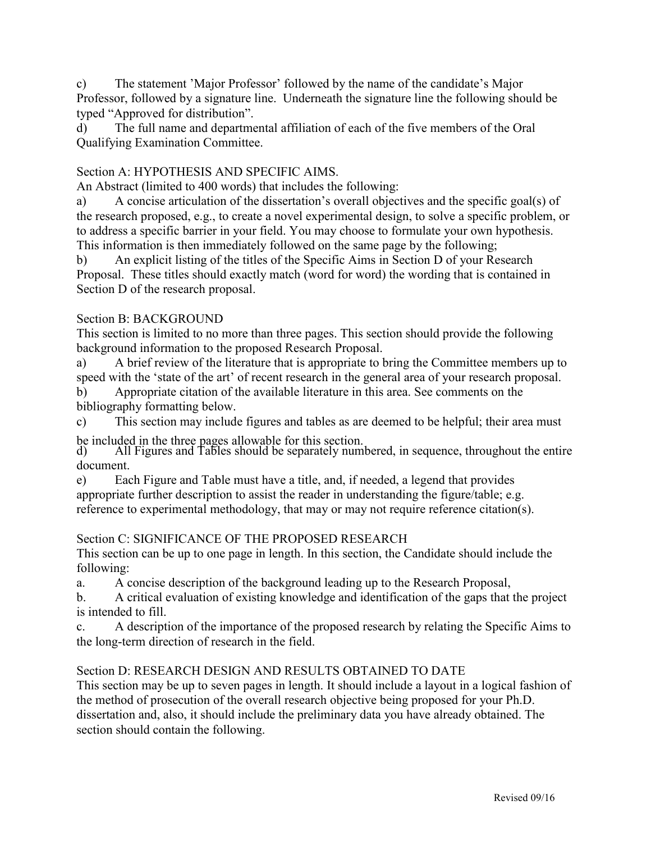c) The statement 'Major Professor' followed by the name of the candidate's Major Professor, followed by a signature line. Underneath the signature line the following should be typed "Approved for distribution".

d) The full name and departmental affiliation of each of the five members of the Oral Qualifying Examination Committee.

## Section A: HYPOTHESIS AND SPECIFIC AIMS.

An Abstract (limited to 400 words) that includes the following:

a) A concise articulation of the dissertation's overall objectives and the specific goal(s) of the research proposed, e.g., to create a novel experimental design, to solve a specific problem, or to address a specific barrier in your field. You may choose to formulate your own hypothesis. This information is then immediately followed on the same page by the following;

b) An explicit listing of the titles of the Specific Aims in Section D of your Research Proposal. These titles should exactly match (word for word) the wording that is contained in Section D of the research proposal.

## Section B: BACKGROUND

This section is limited to no more than three pages. This section should provide the following background information to the proposed Research Proposal.

a) A brief review of the literature that is appropriate to bring the Committee members up to speed with the 'state of the art' of recent research in the general area of your research proposal.

b) Appropriate citation of the available literature in this area. See comments on the bibliography formatting below.

c) This section may include figures and tables as are deemed to be helpful; their area must be included in the three pages allowable for this section.

d) All Figures and Tables should be separately numbered, in sequence, throughout the entire document.

e) Each Figure and Table must have a title, and, if needed, a legend that provides appropriate further description to assist the reader in understanding the figure/table; e.g. reference to experimental methodology, that may or may not require reference citation(s).

# Section C: SIGNIFICANCE OF THE PROPOSED RESEARCH

This section can be up to one page in length. In this section, the Candidate should include the following:

a. A concise description of the background leading up to the Research Proposal,

b. A critical evaluation of existing knowledge and identification of the gaps that the project is intended to fill.

c. A description of the importance of the proposed research by relating the Specific Aims to the long-term direction of research in the field.

# Section D: RESEARCH DESIGN AND RESULTS OBTAINED TO DATE

This section may be up to seven pages in length. It should include a layout in a logical fashion of the method of prosecution of the overall research objective being proposed for your Ph.D. dissertation and, also, it should include the preliminary data you have already obtained. The section should contain the following.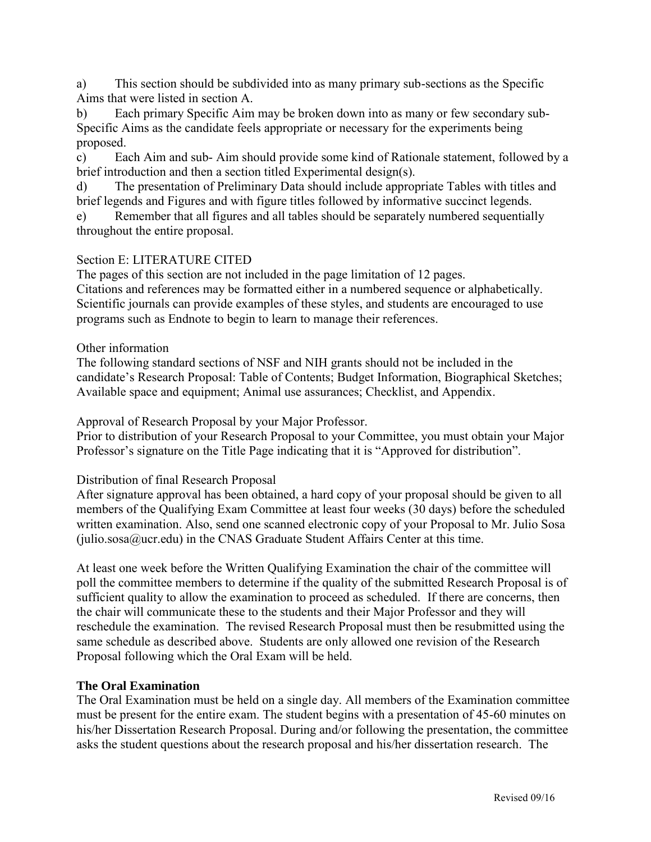a) This section should be subdivided into as many primary sub-sections as the Specific Aims that were listed in section A.

b) Each primary Specific Aim may be broken down into as many or few secondary sub-Specific Aims as the candidate feels appropriate or necessary for the experiments being proposed.

c) Each Aim and sub- Aim should provide some kind of Rationale statement, followed by a brief introduction and then a section titled Experimental design(s).

d) The presentation of Preliminary Data should include appropriate Tables with titles and brief legends and Figures and with figure titles followed by informative succinct legends.

e) Remember that all figures and all tables should be separately numbered sequentially throughout the entire proposal.

### Section E: LITERATURE CITED

The pages of this section are not included in the page limitation of 12 pages. Citations and references may be formatted either in a numbered sequence or alphabetically. Scientific journals can provide examples of these styles, and students are encouraged to use programs such as Endnote to begin to learn to manage their references.

### Other information

The following standard sections of NSF and NIH grants should not be included in the candidate's Research Proposal: Table of Contents; Budget Information, Biographical Sketches; Available space and equipment; Animal use assurances; Checklist, and Appendix.

Approval of Research Proposal by your Major Professor.

Prior to distribution of your Research Proposal to your Committee, you must obtain your Major Professor's signature on the Title Page indicating that it is "Approved for distribution".

### Distribution of final Research Proposal

After signature approval has been obtained, a hard copy of your proposal should be given to all members of the Qualifying Exam Committee at least four weeks (30 days) before the scheduled written examination. Also, send one scanned electronic copy of your Proposal to Mr. Julio Sosa  $(iulio.sosa@ucr.edu)$  in the CNAS Graduate Student Affairs Center at this time.

At least one week before the Written Qualifying Examination the chair of the committee will poll the committee members to determine if the quality of the submitted Research Proposal is of sufficient quality to allow the examination to proceed as scheduled. If there are concerns, then the chair will communicate these to the students and their Major Professor and they will reschedule the examination. The revised Research Proposal must then be resubmitted using the same schedule as described above. Students are only allowed one revision of the Research Proposal following which the Oral Exam will be held.

### **The Oral Examination**

The Oral Examination must be held on a single day. All members of the Examination committee must be present for the entire exam. The student begins with a presentation of 45-60 minutes on his/her Dissertation Research Proposal. During and/or following the presentation, the committee asks the student questions about the research proposal and his/her dissertation research. The